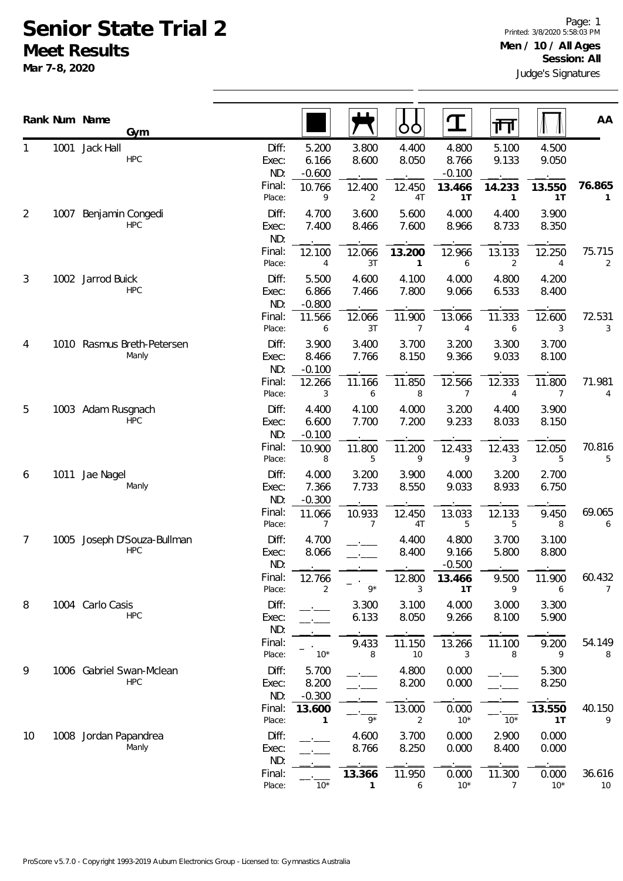## **Senior State Trial 2 Meet Results**

**Mar 7-8, 2020**

|                |      | Rank Num Name<br>Gym                   |                       |                            |                          | OO                       | ${\bf T}$                  | गा                       |                | AA           |
|----------------|------|----------------------------------------|-----------------------|----------------------------|--------------------------|--------------------------|----------------------------|--------------------------|----------------|--------------|
| 1              | 1001 | Jack Hall<br><b>HPC</b>                | Diff:<br>Exec:<br>ND: | 5.200<br>6.166<br>$-0.600$ | 3.800<br>8.600           | 4.400<br>8.050           | 4.800<br>8.766<br>$-0.100$ | 5.100<br>9.133           | 4.500<br>9.050 |              |
|                |      |                                        | Final:<br>Place:      | 10.766<br>9                | 12.400<br>$\overline{2}$ | 12.450<br>4T             | 13.466<br>1T               | 14.233<br>$\mathbf{1}$   | 13.550<br>1T   | 76.865<br>1  |
| $\overline{2}$ | 1007 | Benjamin Congedi<br><b>HPC</b>         | Diff:<br>Exec:<br>ND: | 4.700<br>7.400             | 3.600<br>8.466           | 5.600<br>7.600           | 4.000<br>8.966             | 4.400<br>8.733           | 3.900<br>8.350 |              |
|                |      |                                        | Final:<br>Place:      | 12.100<br>4                | 12.066<br>3T             | 13.200<br>$\mathbf{1}$   | 12.966<br>6                | 13.133<br>$\overline{2}$ | 12.250<br>4    | 75.715<br>2  |
| 3              |      | 1002 Jarrod Buick<br><b>HPC</b>        | Diff:<br>Exec:<br>ND: | 5.500<br>6.866<br>$-0.800$ | 4.600<br>7.466           | 4.100<br>7.800           | 4.000<br>9.066             | 4.800<br>6.533           | 4.200<br>8.400 |              |
|                |      |                                        | Final:<br>Place:      | 11.566<br>6                | 12.066<br>3T             | 11.900<br>$\overline{7}$ | 13.066<br>$\overline{4}$   | 11.333<br>6              | 12.600<br>3    | 72.531<br>3  |
| 4              |      | 1010 Rasmus Breth-Petersen<br>Manly    | Diff:<br>Exec:<br>ND: | 3.900<br>8.466<br>$-0.100$ | 3.400<br>7.766           | 3.700<br>8.150           | 3.200<br>9.366             | 3.300<br>9.033           | 3.700<br>8.100 |              |
|                |      |                                        | Final:<br>Place:      | 12.266<br>3                | 11.166<br>6              | 11.850<br>8              | 12.566<br>7                | 12.333<br>4              | 11.800<br>7    | 71.981<br>4  |
| 5              |      | 1003 Adam Rusgnach<br><b>HPC</b>       | Diff:<br>Exec:<br>ND: | 4.400<br>6.600<br>$-0.100$ | 4.100<br>7.700           | 4.000<br>7.200           | 3.200<br>9.233             | 4.400<br>8.033           | 3.900<br>8.150 |              |
|                |      |                                        | Final:<br>Place:      | 10.900<br>8                | 11.800<br>5              | 11.200<br>9              | 12.433<br>9                | 12.433<br>3              | 12.050<br>5    | 70.816<br>5  |
| 6              | 1011 | Jae Nagel<br>Manly                     | Diff:<br>Exec:<br>ND: | 4.000<br>7.366<br>$-0.300$ | 3.200<br>7.733           | 3.900<br>8.550           | 4.000<br>9.033             | 3.200<br>8.933           | 2.700<br>6.750 |              |
|                |      |                                        | Final:<br>Place:      | 11.066<br>7                | 10.933<br>7              | 12.450<br>4T             | 13.033<br>5                | 12.133<br>5              | 9.450<br>8     | 69.065<br>6  |
| 7              | 1005 | Joseph D'Souza-Bullman<br><b>HPC</b>   | Diff:<br>Exec:<br>ND: | 4.700<br>8.066             |                          | 4.400<br>8.400           | 4.800<br>9.166<br>$-0.500$ | 3.700<br>5.800           | 3.100<br>8.800 |              |
|                |      |                                        | Final:<br>Place:      | 12.766<br>2                | $9*$                     | 12.800<br>3              | 13.466<br>1T               | 9.500<br>9               | 11.900<br>6    | 60.432<br>7  |
| 8              |      | 1004 Carlo Casis<br><b>HPC</b>         | Diff:<br>Exec:<br>ND: |                            | 3.300<br>6.133           | 3.100<br>8.050           | 4.000<br>9.266             | 3.000<br>8.100           | 3.300<br>5.900 |              |
|                |      |                                        | Final:<br>Place:      | $10*$                      | 9.433<br>8               | 11.150<br>10             | 13.266<br>3                | 11.100<br>8              | 9.200<br>9     | 54.149<br>8  |
| 9              |      | 1006 Gabriel Swan-Mclean<br><b>HPC</b> | Diff:<br>Exec:<br>ND: | 5.700<br>8.200<br>$-0.300$ |                          | 4.800<br>8.200           | 0.000<br>0.000             |                          | 5.300<br>8.250 |              |
|                |      |                                        | Final:<br>Place:      | 13.600<br>1                | $9*$                     | 13.000<br>2              | 0.000<br>$10*$             | $10*$                    | 13.550<br>1T   | 40.150<br>9  |
| 10             |      | 1008 Jordan Papandrea<br>Manly         | Diff:<br>Exec:<br>ND: |                            | 4.600<br>8.766           | 3.700<br>8.250           | 0.000<br>0.000             | 2.900<br>8.400           | 0.000<br>0.000 |              |
|                |      |                                        | Final:<br>Place:      | $10*$                      | 13.366<br>$\mathbf{1}$   | 11.950<br>6              | 0.000<br>$10*$             | 11.300<br>$\overline{7}$ | 0.000<br>$10*$ | 36.616<br>10 |